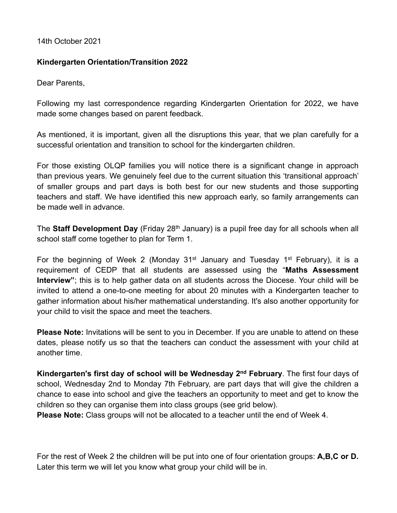14th October 2021

## **Kindergarten Orientation/Transition 2022**

Dear Parents,

Following my last correspondence regarding Kindergarten Orientation for 2022, we have made some changes based on parent feedback.

As mentioned, it is important, given all the disruptions this year, that we plan carefully for a successful orientation and transition to school for the kindergarten children.

For those existing OLQP families you will notice there is a significant change in approach than previous years. We genuinely feel due to the current situation this 'transitional approach' of smaller groups and part days is both best for our new students and those supporting teachers and staff. We have identified this new approach early, so family arrangements can be made well in advance.

The **Staff Development Day** (Friday 28<sup>th</sup> January) is a pupil free day for all schools when all school staff come together to plan for Term 1.

For the beginning of Week 2 (Monday 31<sup>st</sup> January and Tuesday 1<sup>st</sup> February), it is a requirement of CEDP that all students are assessed using the "**Maths Assessment Interview"**; this is to help gather data on all students across the Diocese. Your child will be invited to attend a one-to-one meeting for about 20 minutes with a Kindergarten teacher to gather information about his/her mathematical understanding. It's also another opportunity for your child to visit the space and meet the teachers.

**Please Note:** Invitations will be sent to you in December. If you are unable to attend on these dates, please notify us so that the teachers can conduct the assessment with your child at another time.

**Kindergarten's first day of school will be Wednesday 2nd February**. The first four days of school, Wednesday 2nd to Monday 7th February, are part days that will give the children a chance to ease into school and give the teachers an opportunity to meet and get to know the children so they can organise them into class groups (see grid below).

**Please Note:** Class groups will not be allocated to a teacher until the end of Week 4.

For the rest of Week 2 the children will be put into one of four orientation groups: **A,B,C or D.**  Later this term we will let you know what group your child will be in.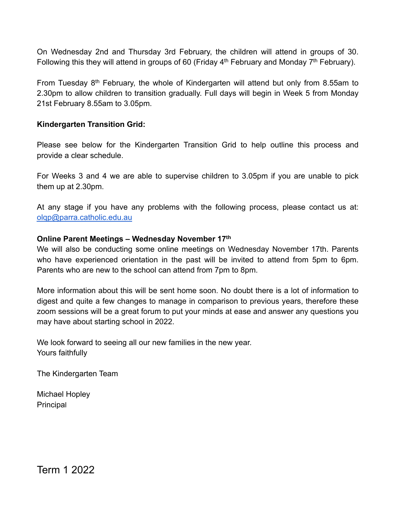On Wednesday 2nd and Thursday 3rd February, the children will attend in groups of 30. Following this they will attend in groups of 60 (Friday  $4<sup>th</sup>$  February and Monday  $7<sup>th</sup>$  February).

From Tuesday  $8<sup>th</sup>$  February, the whole of Kindergarten will attend but only from 8.55am to 2.30pm to allow children to transition gradually. Full days will begin in Week 5 from Monday 21st February 8.55am to 3.05pm.

## **Kindergarten Transition Grid:**

Please see below for the Kindergarten Transition Grid to help outline this process and provide a clear schedule.

For Weeks 3 and 4 we are able to supervise children to 3.05pm if you are unable to pick them up at 2.30pm.

At any stage if you have any problems with the following process, please contact us at: [olqp@parra.catholic.edu.au](mailto:olqp@parra.catholic.edu.au)

## **Online Parent Meetings – Wednesday November 17th**

We will also be conducting some online meetings on Wednesday November 17th. Parents who have experienced orientation in the past will be invited to attend from 5pm to 6pm. Parents who are new to the school can attend from 7pm to 8pm.

More information about this will be sent home soon. No doubt there is a lot of information to digest and quite a few changes to manage in comparison to previous years, therefore these zoom sessions will be a great forum to put your minds at ease and answer any questions you may have about starting school in 2022.

We look forward to seeing all our new families in the new year. Yours faithfully

The Kindergarten Team

Michael Hopley Principal

Term 1 2022